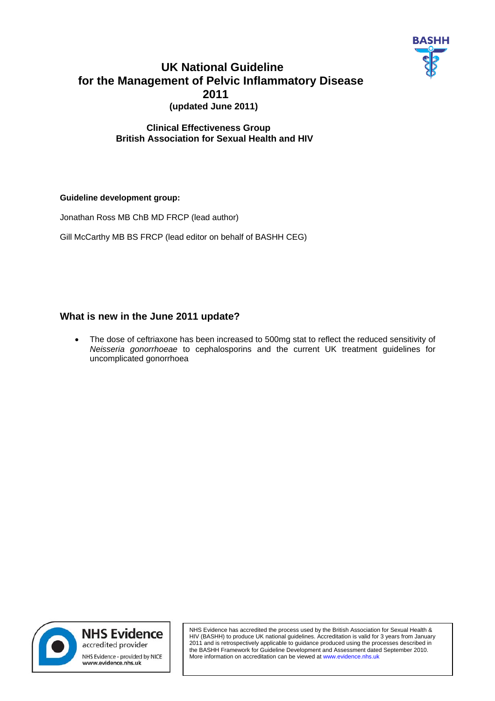

# **UK National Guideline for the Management of Pelvic Inflammatory Disease 2011 (updated June 2011)**

# **Clinical Effectiveness Group British Association for Sexual Health and HIV**

# **Guideline development group:**

Jonathan Ross MB ChB MD FRCP (lead author)

Gill McCarthy MB BS FRCP (lead editor on behalf of BASHH CEG)

# **What is new in the June 2011 update?**

• The dose of ceftriaxone has been increased to 500mg stat to reflect the reduced sensitivity of *Neisseria gonorrhoeae* to cephalosporins and the current UK treatment guidelines for uncomplicated gonorrhoea



NHS Evidence has accredited the process used by the British Association for Sexual Health & HIV (BASHH) to produce UK national guidelines. Accreditation is valid for 3 years from January 2011 and is retrospectively applicable to guidance produced using the processes described in the BASHH Framework for Guideline Development and Assessment dated September 2010. More information on accreditation can be viewed at www.evidence.nhs.uk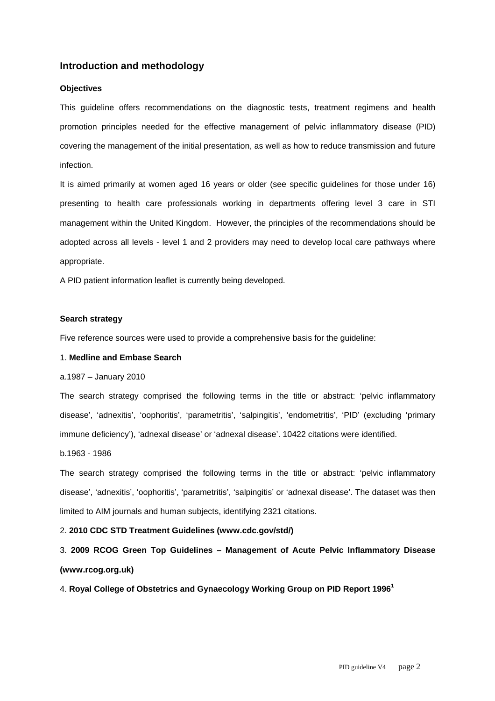# **Introduction and methodology**

#### **Objectives**

This guideline offers recommendations on the diagnostic tests, treatment regimens and health promotion principles needed for the effective management of pelvic inflammatory disease (PID) covering the management of the initial presentation, as well as how to reduce transmission and future infection.

It is aimed primarily at women aged 16 years or older (see specific guidelines for those under 16) presenting to health care professionals working in departments offering level 3 care in STI management within the United Kingdom. However, the principles of the recommendations should be adopted across all levels - level 1 and 2 providers may need to develop local care pathways where appropriate.

A PID patient information leaflet is currently being developed.

#### **Search strategy**

Five reference sources were used to provide a comprehensive basis for the guideline:

#### 1. **Medline and Embase Search**

#### a.1987 – January 2010

The search strategy comprised the following terms in the title or abstract: 'pelvic inflammatory disease', 'adnexitis', 'oophoritis', 'parametritis', 'salpingitis', 'endometritis', 'PID' (excluding 'primary immune deficiency'), 'adnexal disease' or 'adnexal disease'. 10422 citations were identified.

#### b.1963 - 1986

The search strategy comprised the following terms in the title or abstract: 'pelvic inflammatory disease', 'adnexitis', 'oophoritis', 'parametritis', 'salpingitis' or 'adnexal disease'. The dataset was then limited to AIM journals and human subjects, identifying 2321 citations.

#### 2. **2010 CDC STD Treatment Guidelines (www.cdc.gov/std/)**

3. **2009 RCOG Green Top Guidelines – Management of Acute Pelvic Inflammatory Disease (www.rcog.org.uk)** 

4. **Royal College of Obstetrics and Gynaecology Working Group on PID Report 1996<sup>1</sup>**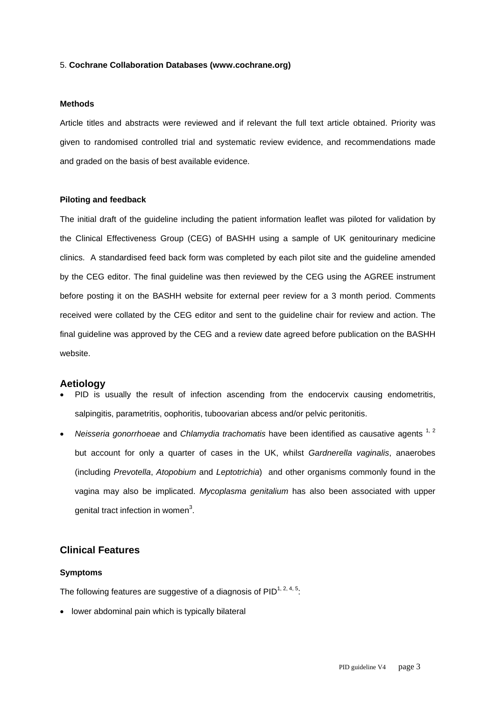#### 5. **Cochrane Collaboration Databases (www.cochrane.org)**

#### **Methods**

Article titles and abstracts were reviewed and if relevant the full text article obtained. Priority was given to randomised controlled trial and systematic review evidence, and recommendations made and graded on the basis of best available evidence.

#### **Piloting and feedback**

The initial draft of the guideline including the patient information leaflet was piloted for validation by the Clinical Effectiveness Group (CEG) of BASHH using a sample of UK genitourinary medicine clinics. A standardised feed back form was completed by each pilot site and the guideline amended by the CEG editor. The final guideline was then reviewed by the CEG using the AGREE instrument before posting it on the BASHH website for external peer review for a 3 month period. Comments received were collated by the CEG editor and sent to the guideline chair for review and action. The final guideline was approved by the CEG and a review date agreed before publication on the BASHH website.

#### **Aetiology**

- PID is usually the result of infection ascending from the endocervix causing endometritis, salpingitis, parametritis, oophoritis, tuboovarian abcess and/or pelvic peritonitis.
- *Neisseria gonorrhoeae* and *Chlamydia trachomatis* have been identified as causative agents <sup>1, 2</sup> but account for only a quarter of cases in the UK, whilst *Gardnerella vaginalis*, anaerobes (including *Prevotella*, *Atopobium* and *Leptotrichia*) and other organisms commonly found in the vagina may also be implicated. *Mycoplasma genitalium* has also been associated with upper genital tract infection in women<sup>3</sup>.

# **Clinical Features**

#### **Symptoms**

The following features are suggestive of a diagnosis of  $PID^{1, 2, 4, 5}$ :

• lower abdominal pain which is typically bilateral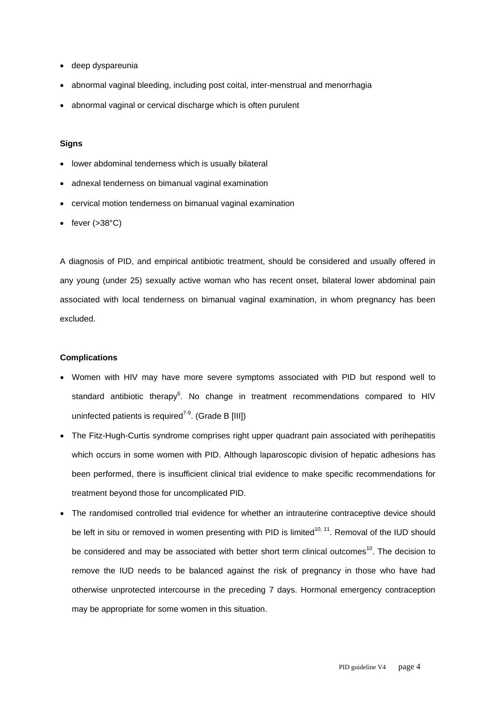- deep dyspareunia
- abnormal vaginal bleeding, including post coital, inter-menstrual and menorrhagia
- abnormal vaginal or cervical discharge which is often purulent

#### **Signs**

- lower abdominal tenderness which is usually bilateral
- adnexal tenderness on bimanual vaginal examination
- cervical motion tenderness on bimanual vaginal examination
- fever  $( >38^{\circ}C)$

A diagnosis of PID, and empirical antibiotic treatment, should be considered and usually offered in any young (under 25) sexually active woman who has recent onset, bilateral lower abdominal pain associated with local tenderness on bimanual vaginal examination, in whom pregnancy has been excluded.

#### **Complications**

- Women with HIV may have more severe symptoms associated with PID but respond well to standard antibiotic therapy<sup>6</sup>. No change in treatment recommendations compared to HIV uninfected patients is required<sup> $7-9$ </sup>. (Grade B [III])
- The Fitz-Hugh-Curtis syndrome comprises right upper quadrant pain associated with perihepatitis which occurs in some women with PID. Although laparoscopic division of hepatic adhesions has been performed, there is insufficient clinical trial evidence to make specific recommendations for treatment beyond those for uncomplicated PID.
- The randomised controlled trial evidence for whether an intrauterine contraceptive device should be left in situ or removed in women presenting with PID is limited<sup>10, 11</sup>. Removal of the IUD should be considered and may be associated with better short term clinical outcomes<sup>10</sup>. The decision to remove the IUD needs to be balanced against the risk of pregnancy in those who have had otherwise unprotected intercourse in the preceding 7 days. Hormonal emergency contraception may be appropriate for some women in this situation.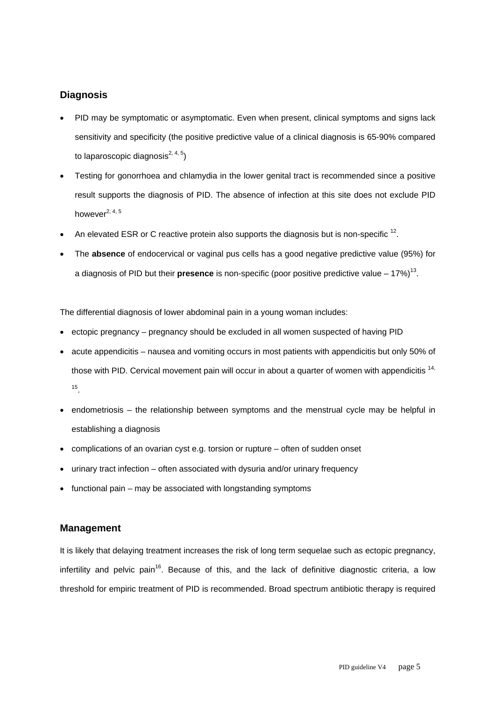# **Diagnosis**

- PID may be symptomatic or asymptomatic. Even when present, clinical symptoms and signs lack sensitivity and specificity (the positive predictive value of a clinical diagnosis is 65-90% compared to laparoscopic diagnosis<sup>2, 4, 5</sup>)
- Testing for gonorrhoea and chlamydia in the lower genital tract is recommended since a positive result supports the diagnosis of PID. The absence of infection at this site does not exclude PID however $2, 4, 5$
- An elevated ESR or C reactive protein also supports the diagnosis but is non-specific  $^{12}$ .
- The **absence** of endocervical or vaginal pus cells has a good negative predictive value (95%) for a diagnosis of PID but their **presence** is non-specific (poor positive predictive value – 17%)13.

The differential diagnosis of lower abdominal pain in a young woman includes:

- ectopic pregnancy pregnancy should be excluded in all women suspected of having PID
- acute appendicitis nausea and vomiting occurs in most patients with appendicitis but only 50% of those with PID. Cervical movement pain will occur in about a quarter of women with appendicitis<sup>14,</sup> 15.
- endometriosis the relationship between symptoms and the menstrual cycle may be helpful in establishing a diagnosis
- complications of an ovarian cyst e.g. torsion or rupture often of sudden onset
- urinary tract infection often associated with dysuria and/or urinary frequency
- functional pain may be associated with longstanding symptoms

# **Management**

It is likely that delaying treatment increases the risk of long term sequelae such as ectopic pregnancy, infertility and pelvic pain<sup>16</sup>. Because of this, and the lack of definitive diagnostic criteria, a low threshold for empiric treatment of PID is recommended. Broad spectrum antibiotic therapy is required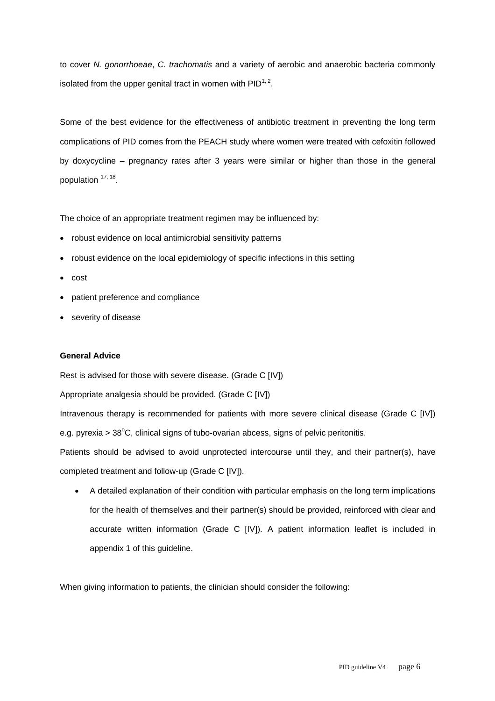to cover *N. gonorrhoeae*, *C. trachomatis* and a variety of aerobic and anaerobic bacteria commonly isolated from the upper genital tract in women with  $PID^{1,2}$ .

Some of the best evidence for the effectiveness of antibiotic treatment in preventing the long term complications of PID comes from the PEACH study where women were treated with cefoxitin followed by doxycycline – pregnancy rates after 3 years were similar or higher than those in the general population  $17, 18$ .

The choice of an appropriate treatment regimen may be influenced by:

- robust evidence on local antimicrobial sensitivity patterns
- robust evidence on the local epidemiology of specific infections in this setting
- cost
- patient preference and compliance
- severity of disease

#### **General Advice**

Rest is advised for those with severe disease. (Grade C [IV])

Appropriate analgesia should be provided. (Grade C [IV])

Intravenous therapy is recommended for patients with more severe clinical disease (Grade C [IV]) e.g. pyrexia >  $38^{\circ}$ C, clinical signs of tubo-ovarian abcess, signs of pelvic peritonitis.

Patients should be advised to avoid unprotected intercourse until they, and their partner(s), have completed treatment and follow-up (Grade C [IV]).

• A detailed explanation of their condition with particular emphasis on the long term implications for the health of themselves and their partner(s) should be provided, reinforced with clear and accurate written information (Grade C [IV]). A patient information leaflet is included in appendix 1 of this guideline.

When giving information to patients, the clinician should consider the following: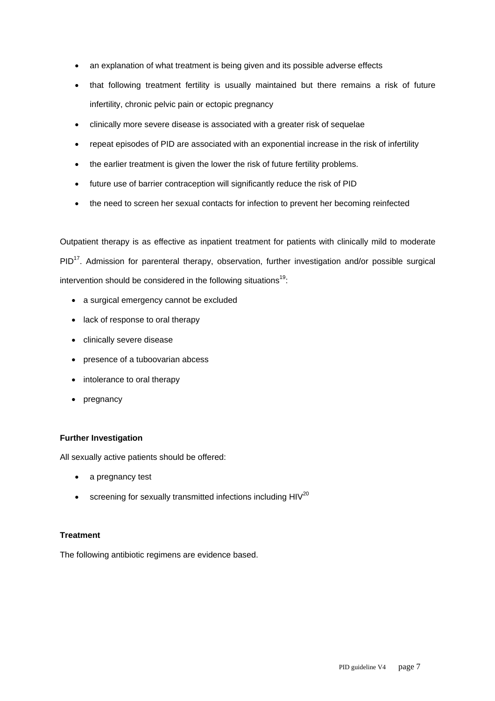- an explanation of what treatment is being given and its possible adverse effects
- that following treatment fertility is usually maintained but there remains a risk of future infertility, chronic pelvic pain or ectopic pregnancy
- clinically more severe disease is associated with a greater risk of sequelae
- repeat episodes of PID are associated with an exponential increase in the risk of infertility
- the earlier treatment is given the lower the risk of future fertility problems.
- future use of barrier contraception will significantly reduce the risk of PID
- the need to screen her sexual contacts for infection to prevent her becoming reinfected

Outpatient therapy is as effective as inpatient treatment for patients with clinically mild to moderate PID<sup>17</sup>. Admission for parenteral therapy, observation, further investigation and/or possible surgical intervention should be considered in the following situations $19$ :

- a surgical emergency cannot be excluded
- lack of response to oral therapy
- clinically severe disease
- presence of a tuboovarian abcess
- intolerance to oral therapy
- pregnancy

# **Further Investigation**

All sexually active patients should be offered:

- a pregnancy test
- $\bullet$  screening for sexually transmitted infections including  $HIV^{20}$

# **Treatment**

The following antibiotic regimens are evidence based.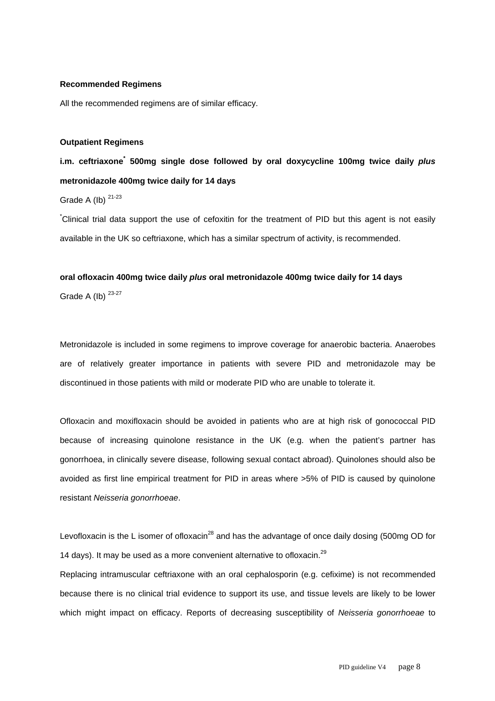#### **Recommended Regimens**

All the recommended regimens are of similar efficacy.

#### **Outpatient Regimens**

**i.m. ceftriaxone\* 500mg single dose followed by oral doxycycline 100mg twice daily** *plus* **metronidazole 400mg twice daily for 14 days**

Grade A (Ib)<sup>21-23</sup>

\* Clinical trial data support the use of cefoxitin for the treatment of PID but this agent is not easily available in the UK so ceftriaxone, which has a similar spectrum of activity, is recommended.

# **oral ofloxacin 400mg twice daily** *plus* **oral metronidazole 400mg twice daily for 14 days**

Grade A (Ib)  $23-27$ 

Metronidazole is included in some regimens to improve coverage for anaerobic bacteria. Anaerobes are of relatively greater importance in patients with severe PID and metronidazole may be discontinued in those patients with mild or moderate PID who are unable to tolerate it.

Ofloxacin and moxifloxacin should be avoided in patients who are at high risk of gonococcal PID because of increasing quinolone resistance in the UK (e.g. when the patient's partner has gonorrhoea, in clinically severe disease, following sexual contact abroad). Quinolones should also be avoided as first line empirical treatment for PID in areas where >5% of PID is caused by quinolone resistant *Neisseria gonorrhoeae*.

Levofloxacin is the L isomer of ofloxacin<sup>28</sup> and has the advantage of once daily dosing (500mg OD for 14 days). It may be used as a more convenient alternative to ofloxacin.<sup>29</sup>

Replacing intramuscular ceftriaxone with an oral cephalosporin (e.g. cefixime) is not recommended because there is no clinical trial evidence to support its use, and tissue levels are likely to be lower which might impact on efficacy. Reports of decreasing susceptibility of *Neisseria gonorrhoeae* to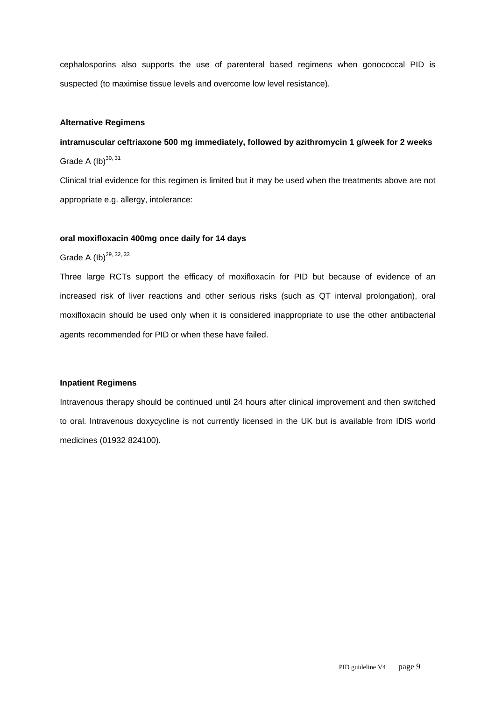cephalosporins also supports the use of parenteral based regimens when gonococcal PID is suspected (to maximise tissue levels and overcome low level resistance).

#### **Alternative Regimens**

# **intramuscular ceftriaxone 500 mg immediately, followed by azithromycin 1 g/week for 2 weeks**  Grade A  $(lb)^{30, 31}$

Clinical trial evidence for this regimen is limited but it may be used when the treatments above are not appropriate e.g. allergy, intolerance:

#### **oral moxifloxacin 400mg once daily for 14 days**

Grade A  $(lb)^{29, 32, 33}$ 

Three large RCTs support the efficacy of moxifloxacin for PID but because of evidence of an increased risk of liver reactions and other serious risks (such as QT interval prolongation), oral moxifloxacin should be used only when it is considered inappropriate to use the other antibacterial agents recommended for PID or when these have failed.

# **Inpatient Regimens**

Intravenous therapy should be continued until 24 hours after clinical improvement and then switched to oral. Intravenous doxycycline is not currently licensed in the UK but is available from IDIS world medicines (01932 824100).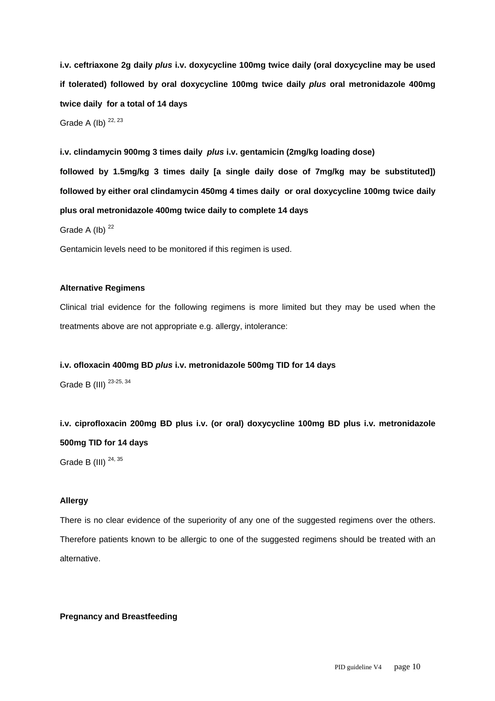**i.v. ceftriaxone 2g daily** *plus* **i.v. doxycycline 100mg twice daily (oral doxycycline may be used if tolerated) followed by oral doxycycline 100mg twice daily** *plus* **oral metronidazole 400mg twice daily for a total of 14 days**

Grade A (Ib)  $22, 23$ 

**i.v. clindamycin 900mg 3 times daily** *plus* **i.v. gentamicin (2mg/kg loading dose) followed by 1.5mg/kg 3 times daily [a single daily dose of 7mg/kg may be substituted]) followed by either oral clindamycin 450mg 4 times daily or oral doxycycline 100mg twice daily plus oral metronidazole 400mg twice daily to complete 14 days** 

Grade A (Ib)  $22$ 

Gentamicin levels need to be monitored if this regimen is used.

# **Alternative Regimens**

Clinical trial evidence for the following regimens is more limited but they may be used when the treatments above are not appropriate e.g. allergy, intolerance:

**i.v. ofloxacin 400mg BD** *plus* **i.v. metronidazole 500mg TID for 14 days** 

Grade B (III)  $^{23-25, 34}$ 

**i.v. ciprofloxacin 200mg BD plus i.v. (or oral) doxycycline 100mg BD plus i.v. metronidazole 500mg TID for 14 days** 

Grade B (III)  $24,35$ 

#### **Allergy**

There is no clear evidence of the superiority of any one of the suggested regimens over the others. Therefore patients known to be allergic to one of the suggested regimens should be treated with an alternative.

**Pregnancy and Breastfeeding**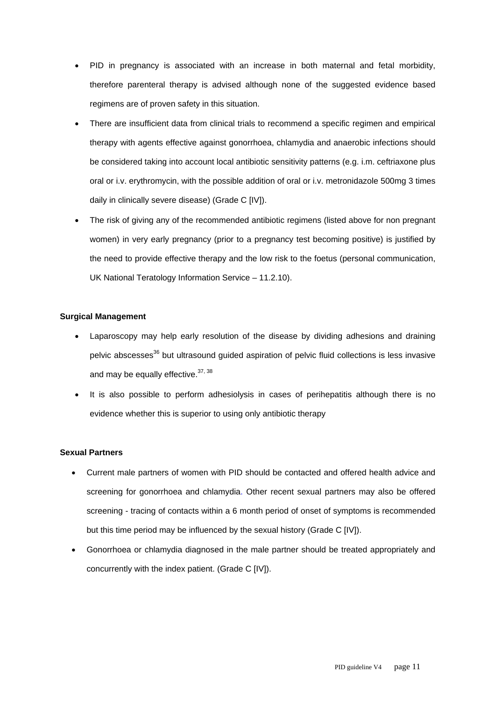- PID in pregnancy is associated with an increase in both maternal and fetal morbidity, therefore parenteral therapy is advised although none of the suggested evidence based regimens are of proven safety in this situation.
- There are insufficient data from clinical trials to recommend a specific regimen and empirical therapy with agents effective against gonorrhoea, chlamydia and anaerobic infections should be considered taking into account local antibiotic sensitivity patterns (e.g. i.m. ceftriaxone plus oral or i.v. erythromycin, with the possible addition of oral or i.v. metronidazole 500mg 3 times daily in clinically severe disease) (Grade C [IV]).
- The risk of giving any of the recommended antibiotic regimens (listed above for non pregnant women) in very early pregnancy (prior to a pregnancy test becoming positive) is justified by the need to provide effective therapy and the low risk to the foetus (personal communication, UK National Teratology Information Service – 11.2.10).

# **Surgical Management**

- Laparoscopy may help early resolution of the disease by dividing adhesions and draining pelvic abscesses<sup>36</sup> but ultrasound guided aspiration of pelvic fluid collections is less invasive and may be equally effective. 37, 38
- It is also possible to perform adhesiolysis in cases of perihepatitis although there is no evidence whether this is superior to using only antibiotic therapy

# **Sexual Partners**

- Current male partners of women with PID should be contacted and offered health advice and screening for gonorrhoea and chlamydia. Other recent sexual partners may also be offered screening - tracing of contacts within a 6 month period of onset of symptoms is recommended but this time period may be influenced by the sexual history (Grade C [IV]).
- Gonorrhoea or chlamydia diagnosed in the male partner should be treated appropriately and concurrently with the index patient. (Grade C [IV]).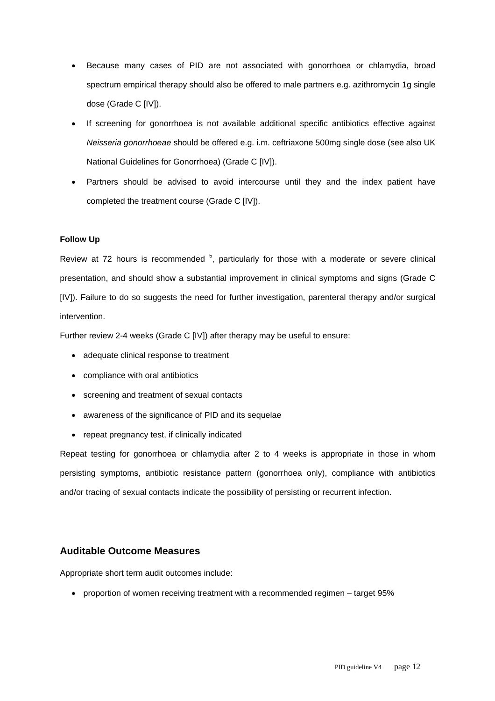- Because many cases of PID are not associated with gonorrhoea or chlamydia, broad spectrum empirical therapy should also be offered to male partners e.g. azithromycin 1g single dose (Grade C [IV]).
- If screening for gonorrhoea is not available additional specific antibiotics effective against *Neisseria gonorrhoeae* should be offered e.g. i.m. ceftriaxone 500mg single dose (see also UK National Guidelines for Gonorrhoea) (Grade C [IV]).
- Partners should be advised to avoid intercourse until they and the index patient have completed the treatment course (Grade C [IV]).

# **Follow Up**

Review at 72 hours is recommended  $5$ , particularly for those with a moderate or severe clinical presentation, and should show a substantial improvement in clinical symptoms and signs (Grade C [IV]). Failure to do so suggests the need for further investigation, parenteral therapy and/or surgical intervention.

Further review 2-4 weeks (Grade C [IV]) after therapy may be useful to ensure:

- adequate clinical response to treatment
- compliance with oral antibiotics
- screening and treatment of sexual contacts
- awareness of the significance of PID and its sequelae
- repeat pregnancy test, if clinically indicated

Repeat testing for gonorrhoea or chlamydia after 2 to 4 weeks is appropriate in those in whom persisting symptoms, antibiotic resistance pattern (gonorrhoea only), compliance with antibiotics and/or tracing of sexual contacts indicate the possibility of persisting or recurrent infection.

# **Auditable Outcome Measures**

Appropriate short term audit outcomes include:

• proportion of women receiving treatment with a recommended regimen – target 95%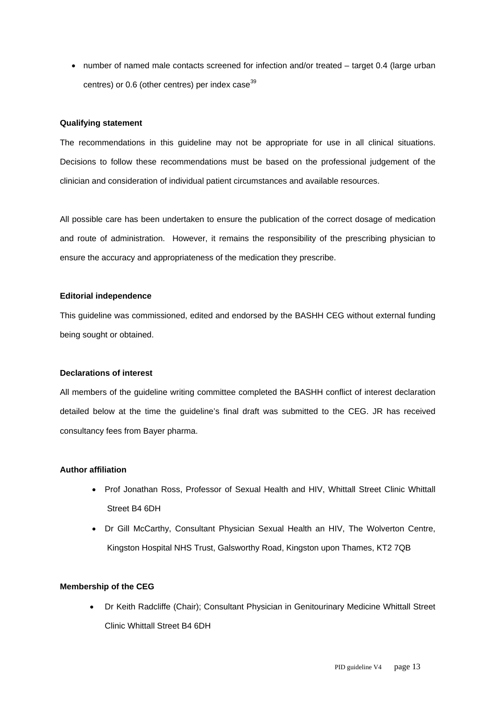• number of named male contacts screened for infection and/or treated – target 0.4 (large urban centres) or  $0.6$  (other centres) per index case<sup>39</sup>

#### **Qualifying statement**

The recommendations in this guideline may not be appropriate for use in all clinical situations. Decisions to follow these recommendations must be based on the professional judgement of the clinician and consideration of individual patient circumstances and available resources.

All possible care has been undertaken to ensure the publication of the correct dosage of medication and route of administration. However, it remains the responsibility of the prescribing physician to ensure the accuracy and appropriateness of the medication they prescribe.

#### **Editorial independence**

This guideline was commissioned, edited and endorsed by the BASHH CEG without external funding being sought or obtained.

#### **Declarations of interest**

All members of the guideline writing committee completed the BASHH conflict of interest declaration detailed below at the time the guideline's final draft was submitted to the CEG. JR has received consultancy fees from Bayer pharma.

#### **Author affiliation**

- Prof Jonathan Ross, Professor of Sexual Health and HIV, Whittall Street Clinic Whittall Street B4 6DH
- Dr Gill McCarthy, Consultant Physician Sexual Health an HIV, The Wolverton Centre, Kingston Hospital NHS Trust, Galsworthy Road, Kingston upon Thames, KT2 7QB

#### **Membership of the CEG**

• Dr Keith Radcliffe (Chair); Consultant Physician in Genitourinary Medicine Whittall Street Clinic Whittall Street B4 6DH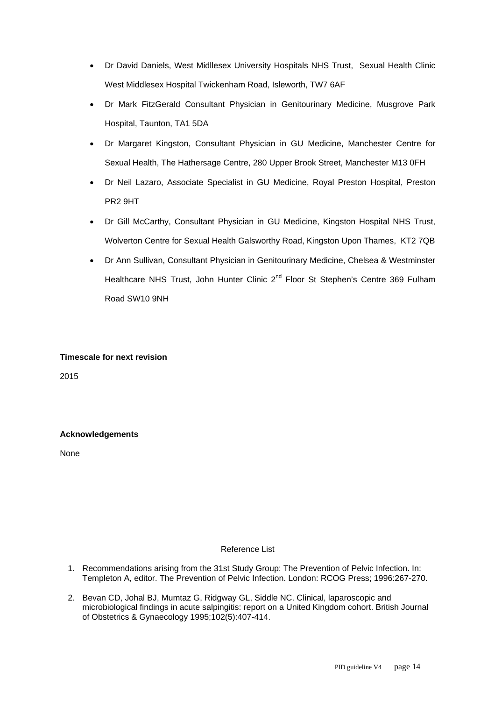- Dr David Daniels, West Midllesex University Hospitals NHS Trust, Sexual Health Clinic West Middlesex Hospital Twickenham Road, Isleworth, TW7 6AF
- Dr Mark FitzGerald Consultant Physician in Genitourinary Medicine, Musgrove Park Hospital, Taunton, TA1 5DA
- Dr Margaret Kingston, Consultant Physician in GU Medicine, Manchester Centre for Sexual Health, The Hathersage Centre, 280 Upper Brook Street, Manchester M13 0FH
- Dr Neil Lazaro, Associate Specialist in GU Medicine, Royal Preston Hospital, Preston PR2 9HT
- Dr Gill McCarthy, Consultant Physician in GU Medicine, Kingston Hospital NHS Trust, Wolverton Centre for Sexual Health Galsworthy Road, Kingston Upon Thames, KT2 7QB
- Dr Ann Sullivan, Consultant Physician in Genitourinary Medicine, Chelsea & Westminster Healthcare NHS Trust, John Hunter Clinic 2<sup>nd</sup> Floor St Stephen's Centre 369 Fulham Road SW10 9NH

# **Timescale for next revision**

2015

# **Acknowledgements**

None

# Reference List

- 1. Recommendations arising from the 31st Study Group: The Prevention of Pelvic Infection. In: Templeton A, editor. The Prevention of Pelvic Infection. London: RCOG Press; 1996:267-270.
- 2. Bevan CD, Johal BJ, Mumtaz G, Ridgway GL, Siddle NC. Clinical, laparoscopic and microbiological findings in acute salpingitis: report on a United Kingdom cohort. British Journal of Obstetrics & Gynaecology 1995;102(5):407-414.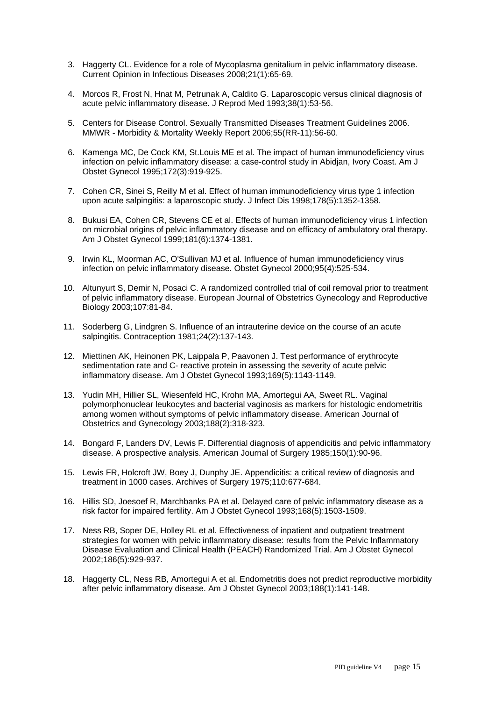- 3. Haggerty CL. Evidence for a role of Mycoplasma genitalium in pelvic inflammatory disease. Current Opinion in Infectious Diseases 2008;21(1):65-69.
- 4. Morcos R, Frost N, Hnat M, Petrunak A, Caldito G. Laparoscopic versus clinical diagnosis of acute pelvic inflammatory disease. J Reprod Med 1993;38(1):53-56.
- 5. Centers for Disease Control. Sexually Transmitted Diseases Treatment Guidelines 2006. MMWR - Morbidity & Mortality Weekly Report 2006;55(RR-11):56-60.
- 6. Kamenga MC, De Cock KM, St.Louis ME et al. The impact of human immunodeficiency virus infection on pelvic inflammatory disease: a case-control study in Abidjan, Ivory Coast. Am J Obstet Gynecol 1995;172(3):919-925.
- 7. Cohen CR, Sinei S, Reilly M et al. Effect of human immunodeficiency virus type 1 infection upon acute salpingitis: a laparoscopic study. J Infect Dis 1998;178(5):1352-1358.
- 8. Bukusi EA, Cohen CR, Stevens CE et al. Effects of human immunodeficiency virus 1 infection on microbial origins of pelvic inflammatory disease and on efficacy of ambulatory oral therapy. Am J Obstet Gynecol 1999;181(6):1374-1381.
- 9. Irwin KL, Moorman AC, O'Sullivan MJ et al. Influence of human immunodeficiency virus infection on pelvic inflammatory disease. Obstet Gynecol 2000;95(4):525-534.
- 10. Altunyurt S, Demir N, Posaci C. A randomized controlled trial of coil removal prior to treatment of pelvic inflammatory disease. European Journal of Obstetrics Gynecology and Reproductive Biology 2003;107:81-84.
- 11. Soderberg G, Lindgren S. Influence of an intrauterine device on the course of an acute salpingitis. Contraception 1981;24(2):137-143.
- 12. Miettinen AK, Heinonen PK, Laippala P, Paavonen J. Test performance of erythrocyte sedimentation rate and C- reactive protein in assessing the severity of acute pelvic inflammatory disease. Am J Obstet Gynecol 1993;169(5):1143-1149.
- 13. Yudin MH, Hillier SL, Wiesenfeld HC, Krohn MA, Amortegui AA, Sweet RL. Vaginal polymorphonuclear leukocytes and bacterial vaginosis as markers for histologic endometritis among women without symptoms of pelvic inflammatory disease. American Journal of Obstetrics and Gynecology 2003;188(2):318-323.
- 14. Bongard F, Landers DV, Lewis F. Differential diagnosis of appendicitis and pelvic inflammatory disease. A prospective analysis. American Journal of Surgery 1985;150(1):90-96.
- 15. Lewis FR, Holcroft JW, Boey J, Dunphy JE. Appendicitis: a critical review of diagnosis and treatment in 1000 cases. Archives of Surgery 1975;110:677-684.
- 16. Hillis SD, Joesoef R, Marchbanks PA et al. Delayed care of pelvic inflammatory disease as a risk factor for impaired fertility. Am J Obstet Gynecol 1993;168(5):1503-1509.
- 17. Ness RB, Soper DE, Holley RL et al. Effectiveness of inpatient and outpatient treatment strategies for women with pelvic inflammatory disease: results from the Pelvic Inflammatory Disease Evaluation and Clinical Health (PEACH) Randomized Trial. Am J Obstet Gynecol 2002;186(5):929-937.
- 18. Haggerty CL, Ness RB, Amortegui A et al. Endometritis does not predict reproductive morbidity after pelvic inflammatory disease. Am J Obstet Gynecol 2003;188(1):141-148.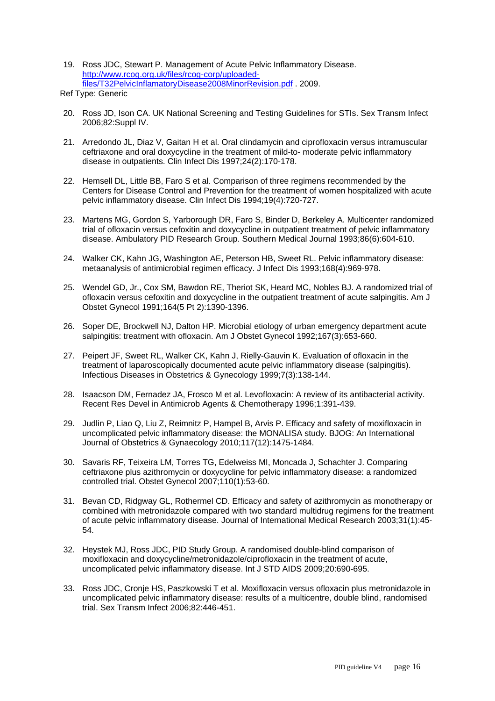- 19. Ross JDC, Stewart P. Management of Acute Pelvic Inflammatory Disease. http://www.rcog.org.uk/files/rcog-corp/uploadedfiles/T32PelvicInflamatoryDisease2008MinorRevision.pdf . 2009.
- Ref Type: Generic
- 20. Ross JD, Ison CA. UK National Screening and Testing Guidelines for STIs. Sex Transm Infect 2006;82:Suppl IV.
- 21. Arredondo JL, Diaz V, Gaitan H et al. Oral clindamycin and ciprofloxacin versus intramuscular ceftriaxone and oral doxycycline in the treatment of mild-to- moderate pelvic inflammatory disease in outpatients. Clin Infect Dis 1997;24(2):170-178.
- 22. Hemsell DL, Little BB, Faro S et al. Comparison of three regimens recommended by the Centers for Disease Control and Prevention for the treatment of women hospitalized with acute pelvic inflammatory disease. Clin Infect Dis 1994;19(4):720-727.
- 23. Martens MG, Gordon S, Yarborough DR, Faro S, Binder D, Berkeley A. Multicenter randomized trial of ofloxacin versus cefoxitin and doxycycline in outpatient treatment of pelvic inflammatory disease. Ambulatory PID Research Group. Southern Medical Journal 1993;86(6):604-610.
- 24. Walker CK, Kahn JG, Washington AE, Peterson HB, Sweet RL. Pelvic inflammatory disease: metaanalysis of antimicrobial regimen efficacy. J Infect Dis 1993;168(4):969-978.
- 25. Wendel GD, Jr., Cox SM, Bawdon RE, Theriot SK, Heard MC, Nobles BJ. A randomized trial of ofloxacin versus cefoxitin and doxycycline in the outpatient treatment of acute salpingitis. Am J Obstet Gynecol 1991;164(5 Pt 2):1390-1396.
- 26. Soper DE, Brockwell NJ, Dalton HP. Microbial etiology of urban emergency department acute salpingitis: treatment with ofloxacin. Am J Obstet Gynecol 1992;167(3):653-660.
- 27. Peipert JF, Sweet RL, Walker CK, Kahn J, Rielly-Gauvin K. Evaluation of ofloxacin in the treatment of laparoscopically documented acute pelvic inflammatory disease (salpingitis). Infectious Diseases in Obstetrics & Gynecology 1999;7(3):138-144.
- 28. Isaacson DM, Fernadez JA, Frosco M et al. Levofloxacin: A review of its antibacterial activity. Recent Res Devel in Antimicrob Agents & Chemotherapy 1996;1:391-439.
- 29. Judlin P, Liao Q, Liu Z, Reimnitz P, Hampel B, Arvis P. Efficacy and safety of moxifloxacin in uncomplicated pelvic inflammatory disease: the MONALISA study. BJOG: An International Journal of Obstetrics & Gynaecology 2010;117(12):1475-1484.
- 30. Savaris RF, Teixeira LM, Torres TG, Edelweiss MI, Moncada J, Schachter J. Comparing ceftriaxone plus azithromycin or doxycycline for pelvic inflammatory disease: a randomized controlled trial. Obstet Gynecol 2007;110(1):53-60.
- 31. Bevan CD, Ridgway GL, Rothermel CD. Efficacy and safety of azithromycin as monotherapy or combined with metronidazole compared with two standard multidrug regimens for the treatment of acute pelvic inflammatory disease. Journal of International Medical Research 2003;31(1):45- 54.
- 32. Heystek MJ, Ross JDC, PID Study Group. A randomised double-blind comparison of moxifloxacin and doxycycline/metronidazole/ciprofloxacin in the treatment of acute, uncomplicated pelvic inflammatory disease. Int J STD AIDS 2009;20:690-695.
- 33. Ross JDC, Cronje HS, Paszkowski T et al. Moxifloxacin versus ofloxacin plus metronidazole in uncomplicated pelvic inflammatory disease: results of a multicentre, double blind, randomised trial. Sex Transm Infect 2006;82:446-451.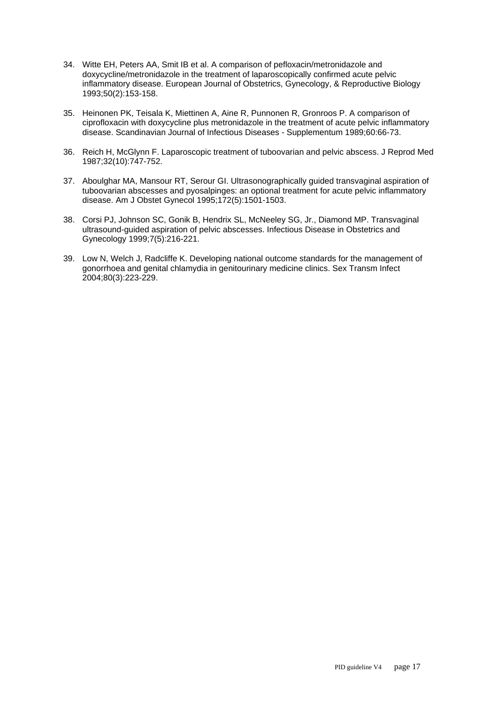- 34. Witte EH, Peters AA, Smit IB et al. A comparison of pefloxacin/metronidazole and doxycycline/metronidazole in the treatment of laparoscopically confirmed acute pelvic inflammatory disease. European Journal of Obstetrics, Gynecology, & Reproductive Biology 1993;50(2):153-158.
- 35. Heinonen PK, Teisala K, Miettinen A, Aine R, Punnonen R, Gronroos P. A comparison of ciprofloxacin with doxycycline plus metronidazole in the treatment of acute pelvic inflammatory disease. Scandinavian Journal of Infectious Diseases - Supplementum 1989;60:66-73.
- 36. Reich H, McGlynn F. Laparoscopic treatment of tuboovarian and pelvic abscess. J Reprod Med 1987;32(10):747-752.
- 37. Aboulghar MA, Mansour RT, Serour GI. Ultrasonographically guided transvaginal aspiration of tuboovarian abscesses and pyosalpinges: an optional treatment for acute pelvic inflammatory disease. Am J Obstet Gynecol 1995;172(5):1501-1503.
- 38. Corsi PJ, Johnson SC, Gonik B, Hendrix SL, McNeeley SG, Jr., Diamond MP. Transvaginal ultrasound-guided aspiration of pelvic abscesses. Infectious Disease in Obstetrics and Gynecology 1999;7(5):216-221.
- 39. Low N, Welch J, Radcliffe K. Developing national outcome standards for the management of gonorrhoea and genital chlamydia in genitourinary medicine clinics. Sex Transm Infect 2004;80(3):223-229.